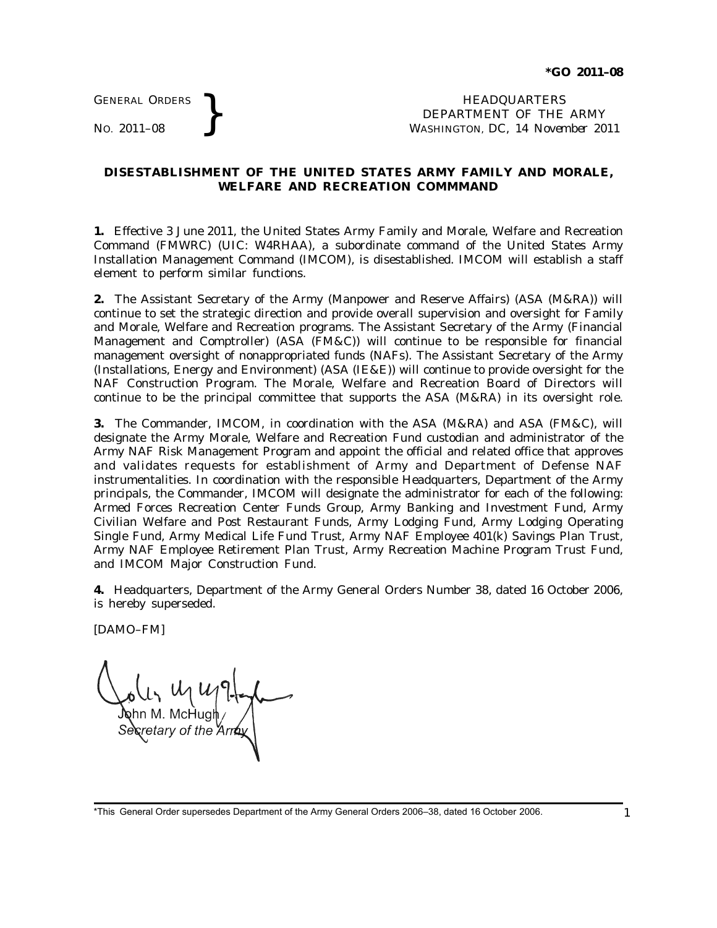GENERAL ORDERS

GENERAL ORDERS **REAL ORDERS** HEADQUARTERS **HEADQUARTERS HEADQUARTERS DEPARTMENT** OF THE **NO.** 2011–08 **PM** DEPARTMENT OF THE ARMY WASHINGTON, DC, *14 November 2011*

## **DISESTABLISHMENT OF THE UNITED STATES ARMY FAMILY AND MORALE, WELFARE AND RECREATION COMMMAND**

**1.** Effective 3 June 2011, the United States Army Family and Morale, Welfare and Recreation Command (FMWRC) (UIC: W4RHAA), a subordinate command of the United States Army Installation Management Command (IMCOM), is disestablished. IMCOM will establish a staff element to perform similar functions.

**2.** The Assistant Secretary of the Army (Manpower and Reserve Affairs) (ASA (M&RA)) will continue to set the strategic direction and provide overall supervision and oversight for Family and Morale, Welfare and Recreation programs. The Assistant Secretary of the Army (Financial Management and Comptroller) (ASA (FM&C)) will continue to be responsible for financial management oversight of nonappropriated funds (NAFs). The Assistant Secretary of the Army (Installations, Energy and Environment) (ASA (IE&E)) will continue to provide oversight for the NAF Construction Program. The Morale, Welfare and Recreation Board of Directors will continue to be the principal committee that supports the ASA (M&RA) in its oversight role.

**3.** The Commander, IMCOM, in coordination with the ASA (M&RA) and ASA (FM&C), will designate the Army Morale, Welfare and Recreation Fund custodian and administrator of the Army NAF Risk Management Program and appoint the official and related office that approves and validates requests for establishment of Army and Department of Defense NAF instrumentalities. In coordination with the responsible Headquarters, Department of the Army principals, the Commander, IMCOM will designate the administrator for each of the following: Armed Forces Recreation Center Funds Group, Army Banking and Investment Fund, Army Civilian Welfare and Post Restaurant Funds, Army Lodging Fund, Army Lodging Operating Single Fund, Army Medical Life Fund Trust, Army NAF Employee 401(k) Savings Plan Trust, Army NAF Employee Retirement Plan Trust, Army Recreation Machine Program Trust Fund, and IMCOM Major Construction Fund.

**4.** Headquarters, Department of the Army General Orders Number 38, dated 16 October 2006, is hereby superseded.

[DAMO–FM]

M. McHugh etary of the *.* 

<sup>\*</sup>This General Order supersedes Department of the Army General Orders 2006–38, dated 16 October 2006. 1